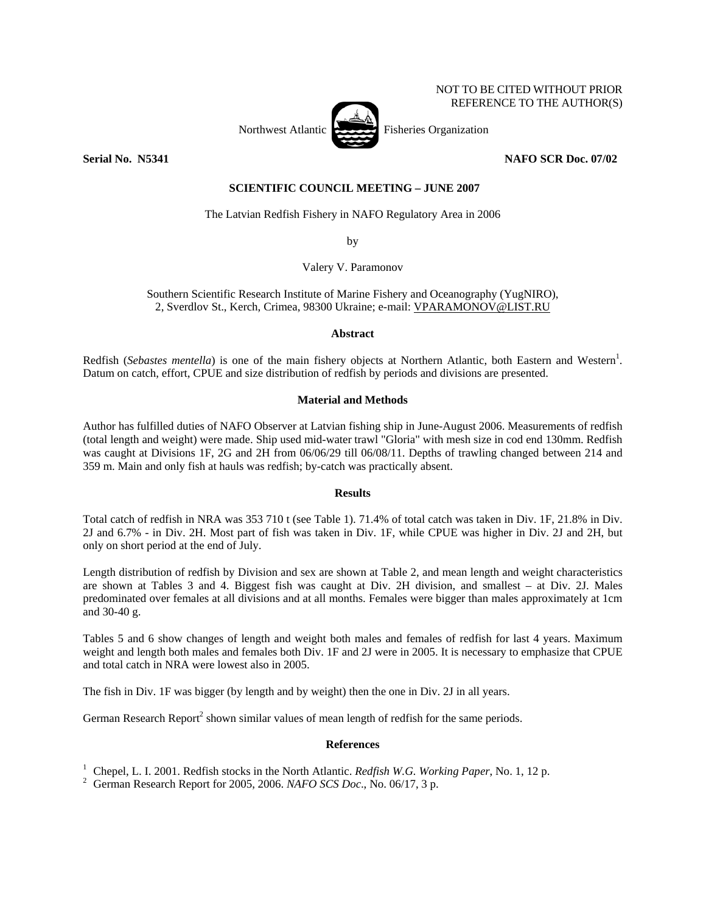#### NOT TO BE CITED WITHOUT PRIOR REFERENCE TO THE AUTHOR(S)



**Serial No. 35341** No. 35341 2010 12:34 NAFO SCR Doc. 07/02

### **SCIENTIFIC COUNCIL MEETING – JUNE 2007**

The Latvian Redfish Fishery in NAFO Regulatory Area in 2006

by

Valery V. Paramonov

Southern Scientific Research Institute of Marine Fishery and Oceanography (YugNIRO), 2, Sverdlov St., Kerch, Crimea, 98300 Ukraine; e-mail: VPARAMONOV@LIST.RU

## **Abstract**

Redfish (*Sebastes mentella*) is one of the main fishery objects at Northern Atlantic, both Eastern and Western<sup>1</sup>. Datum on catch, effort, CPUE and size distribution of redfish by periods and divisions are presented.

## **Material and Methods**

Author has fulfilled duties of NAFO Observer at Latvian fishing ship in June-August 2006. Measurements of redfish (total length and weight) were made. Ship used mid-water trawl "Gloria" with mesh size in cod end 130mm. Redfish was caught at Divisions 1F, 2G and 2H from 06/06/29 till 06/08/11. Depths of trawling changed between 214 and 359 m. Main and only fish at hauls was redfish; by-catch was practically absent.

#### **Results**

Total catch of redfish in NRA was 353 710 t (see Table 1). 71.4% of total catch was taken in Div. 1F, 21.8% in Div. 2J and 6.7% - in Div. 2H. Most part of fish was taken in Div. 1F, while CPUE was higher in Div. 2J and 2H, but only on short period at the end of July.

Length distribution of redfish by Division and sex are shown at Table 2, and mean length and weight characteristics are shown at Tables 3 and 4. Biggest fish was caught at Div. 2H division, and smallest – at Div. 2J. Males predominated over females at all divisions and at all months. Females were bigger than males approximately at 1cm and 30-40 g.

Tables 5 and 6 show changes of length and weight both males and females of redfish for last 4 years. Maximum weight and length both males and females both Div. 1F and 2J were in 2005. It is necessary to emphasize that CPUE and total catch in NRA were lowest also in 2005.

The fish in Div. 1F was bigger (by length and by weight) then the one in Div. 2J in all years.

German Research Report<sup>2</sup> shown similar values of mean length of redfish for the same periods.

# **References**

<sup>1</sup> Chepel, L. I. 2001. Redfish stocks in the North Atlantic. *Redfish W.G. Working Paper*, No. 1, 12 p.  $\frac{2}{5}$  Corman Bessersh Bapert for 2005, 2006, *MAEO SCS Dee, No.* 06/17, <sup>2</sup> p.

German Research Report for 2005, 2006. *NAFO SCS Doc*., No. 06/17, 3 p.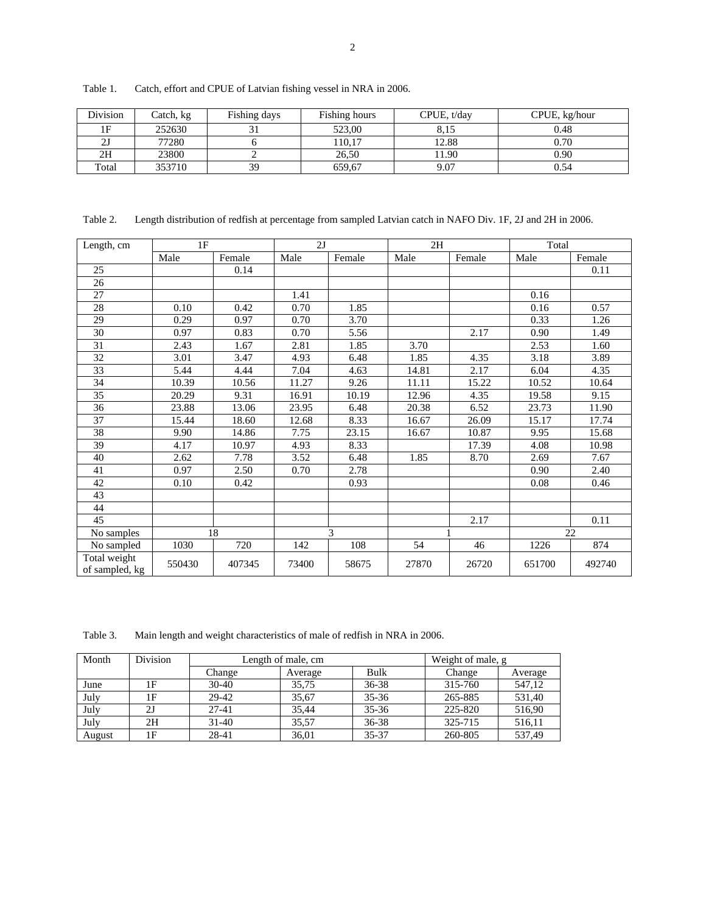| Division | Catch, kg | Fishing days | Fishing hours | CPUE, t/day | CPUE, kg/hour |
|----------|-----------|--------------|---------------|-------------|---------------|
|          | 252630    |              | 523.00        | 8.15        | 0.48          |
|          | 77280     |              | 10.17         | 12.88       | 0.70          |
| 2Н       | 23800     |              | 26,50         | 1.90        | 0.90          |
| Total    | 353710    | 39           | 659,67        | 9.07        | 0.54          |

Table 1. Catch, effort and CPUE of Latvian fishing vessel in NRA in 2006.

Table 2. Length distribution of redfish at percentage from sampled Latvian catch in NAFO Div. 1F, 2J and 2H in 2006.

| Length, cm                     | 1F     |        | 2J    |        | 2H    |        | Total  |        |
|--------------------------------|--------|--------|-------|--------|-------|--------|--------|--------|
|                                | Male   | Female | Male  | Female | Male  | Female | Male   | Female |
| 25                             |        | 0.14   |       |        |       |        |        | 0.11   |
| 26                             |        |        |       |        |       |        |        |        |
| 27                             |        |        | 1.41  |        |       |        | 0.16   |        |
| 28                             | 0.10   | 0.42   | 0.70  | 1.85   |       |        | 0.16   | 0.57   |
| 29                             | 0.29   | 0.97   | 0.70  | 3.70   |       |        | 0.33   | 1.26   |
| $\overline{30}$                | 0.97   | 0.83   | 0.70  | 5.56   |       | 2.17   | 0.90   | 1.49   |
| 31                             | 2.43   | 1.67   | 2.81  | 1.85   | 3.70  |        | 2.53   | 1.60   |
| 32                             | 3.01   | 3.47   | 4.93  | 6.48   | 1.85  | 4.35   | 3.18   | 3.89   |
| 33                             | 5.44   | 4.44   | 7.04  | 4.63   | 14.81 | 2.17   | 6.04   | 4.35   |
| 34                             | 10.39  | 10.56  | 11.27 | 9.26   | 11.11 | 15.22  | 10.52  | 10.64  |
| 35                             | 20.29  | 9.31   | 16.91 | 10.19  | 12.96 | 4.35   | 19.58  | 9.15   |
| 36                             | 23.88  | 13.06  | 23.95 | 6.48   | 20.38 | 6.52   | 23.73  | 11.90  |
| 37                             | 15.44  | 18.60  | 12.68 | 8.33   | 16.67 | 26.09  | 15.17  | 17.74  |
| $\overline{38}$                | 9.90   | 14.86  | 7.75  | 23.15  | 16.67 | 10.87  | 9.95   | 15.68  |
| $\overline{39}$                | 4.17   | 10.97  | 4.93  | 8.33   |       | 17.39  | 4.08   | 10.98  |
| 40                             | 2.62   | 7.78   | 3.52  | 6.48   | 1.85  | 8.70   | 2.69   | 7.67   |
| 41                             | 0.97   | 2.50   | 0.70  | 2.78   |       |        | 0.90   | 2.40   |
| 42                             | 0.10   | 0.42   |       | 0.93   |       |        | 0.08   | 0.46   |
| 43                             |        |        |       |        |       |        |        |        |
| 44                             |        |        |       |        |       |        |        |        |
| 45                             |        |        |       |        |       | 2.17   |        | 0.11   |
| No samples                     | 18     |        | 3     |        |       |        |        | 22     |
| No sampled                     | 1030   | 720    | 142   | 108    | 54    | 46     | 1226   | 874    |
| Total weight<br>of sampled, kg | 550430 | 407345 | 73400 | 58675  | 27870 | 26720  | 651700 | 492740 |

Table 3. Main length and weight characteristics of male of redfish in NRA in 2006.

| Month  | Division | Length of male, cm |         |           | Weight of male, g |         |
|--------|----------|--------------------|---------|-----------|-------------------|---------|
|        |          | Change             | Average | Bulk      | Change            | Average |
| June   | 1F       | $30-40$            | 35.75   | $36 - 38$ | 315-760           | 547,12  |
| July   | 1F       | 29-42              | 35.67   | $35 - 36$ | 265-885           | 531,40  |
| July   | 2J       | 27-41              | 35.44   | $35 - 36$ | 225-820           | 516,90  |
| July   | 2H       | $31 - 40$          | 35.57   | 36-38     | 325-715           | 516,11  |
| August | 1F       | 28-41              | 36,01   | 35-37     | 260-805           | 537,49  |